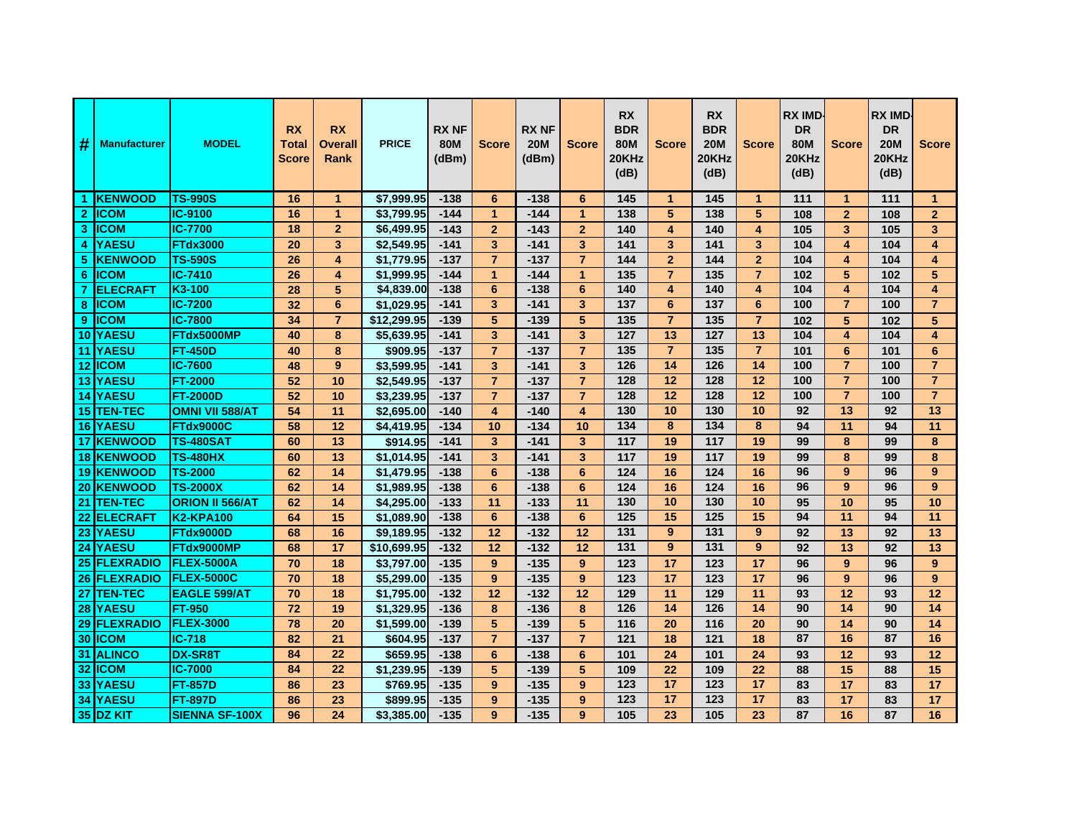| #              | <b>Manufacturer</b> | <b>MODEL</b>           | <b>RX</b><br><b>Total</b><br><b>Score</b> | <b>RX</b><br><b>Overall</b><br>Rank | <b>PRICE</b>            | <b>RX NF</b><br>80M<br>(dBm) | <b>Score</b>            | <b>RX NF</b><br><b>20M</b><br>(dBm) | <b>Score</b>            | <b>RX</b><br><b>BDR</b><br><b>80M</b><br>20KHz<br>(dB) | <b>Score</b>            | <b>RX</b><br><b>BDR</b><br><b>20M</b><br>20KHz<br>(dB) | <b>Score</b>            | <b>RX IMD</b><br><b>DR</b><br>80M<br>20KHz<br>(dB) | <b>Score</b>            | <b>RX IMD</b><br><b>DR</b><br><b>20M</b><br>20KHz<br>(dB) | <b>Score</b>            |
|----------------|---------------------|------------------------|-------------------------------------------|-------------------------------------|-------------------------|------------------------------|-------------------------|-------------------------------------|-------------------------|--------------------------------------------------------|-------------------------|--------------------------------------------------------|-------------------------|----------------------------------------------------|-------------------------|-----------------------------------------------------------|-------------------------|
|                | 1 KENWOOD           | <b>TS-990S</b>         | 16                                        | $\mathbf{1}$                        | \$7,999.95              | $-138$                       | 6                       | $-138$                              | 6                       | 145                                                    | $\mathbf{1}$            | 145                                                    | $\blacktriangleleft$    | 111                                                | $\mathbf 1$             | 111                                                       | $\mathbf{1}$            |
| $\mathbf{2}$   | <b>ICOM</b>         | IC-9100                | 16                                        | $\mathbf{1}$                        | \$3,799.95              | $-144$                       | $\mathbf{1}$            | $-144$                              | $\mathbf{1}$            | 138                                                    | 5                       | 138                                                    | 5                       | 108                                                | $\overline{2}$          | 108                                                       | $\overline{2}$          |
| 3              | <b>IICOM</b>        | <b>IC-7700</b>         | 18                                        | $\overline{2}$                      | \$6,499.95              | $-143$                       | $\overline{2}$          | $-143$                              | $\overline{2}$          | 140                                                    | $\overline{\mathbf{4}}$ | 140                                                    | $\overline{\mathbf{4}}$ | 105                                                | 3                       | 105                                                       | $\overline{\mathbf{3}}$ |
| 4              | <b>YAESU</b>        | <b>FTdx3000</b>        | 20                                        | 3                                   | \$2,549.95              | $-141$                       | 3                       | $-141$                              | 3                       | 141                                                    | 3                       | $\overline{141}$                                       | 3                       | 104                                                | $\overline{\mathbf{4}}$ | 104                                                       | 4                       |
| 5              | <b>IKENWOOD</b>     | <b>TS-590S</b>         | 26                                        | 4                                   | \$1,779.95              | $-137$                       | $\overline{7}$          | $-137$                              | $\overline{7}$          | 144                                                    | $\overline{2}$          | 144                                                    | $\overline{2}$          | 104                                                | 4                       | 104                                                       | 4                       |
| 6              | <b>IICOM</b>        | IC-7410                | 26                                        | 4                                   | $\overline{\$1,999.95}$ | $-144$                       | $\mathbf{1}$            | $-144$                              | $\mathbf{1}$            | 135                                                    | $\overline{7}$          | 135                                                    | $\overline{7}$          | 102                                                | 5                       | 102                                                       | 5                       |
| $\overline{7}$ | <b>ELECRAFT</b>     | K3-100                 | 28                                        | 5                                   | \$4,839.00              | $-138$                       | $6\phantom{1}$          | $-138$                              | 6                       | 140                                                    | 4                       | 140                                                    | $\overline{\mathbf{4}}$ | 104                                                | $\overline{\mathbf{4}}$ | 104                                                       | $\overline{\mathbf{4}}$ |
| 8              | <b>IICOM</b>        | <b>IC-7200</b>         | 32                                        | 6                                   | \$1,029.95              | $-141$                       | 3                       | $-141$                              | 3                       | 137                                                    | 6                       | 137                                                    | 6                       | 100                                                | $\overline{7}$          | 100                                                       | $\overline{7}$          |
| 9              | <b>ICOM</b>         | <b>IC-7800</b>         | 34                                        | $\overline{7}$                      | \$12,299.95             | $-139$                       | 5                       | $-139$                              | 5                       | 135                                                    | $\overline{7}$          | 135                                                    | $\overline{7}$          | 102                                                | 5                       | 102                                                       | 5                       |
| 10             | <b>YAESU</b>        | FTdx5000MP             | 40                                        | 8                                   | \$5,639.95              | $-141$                       | 3                       | $-141$                              | 3                       | $\overline{127}$                                       | 13                      | $\frac{1}{27}$                                         | $\overline{13}$         | 104                                                | $\overline{\mathbf{4}}$ | 104                                                       | 4                       |
|                | <b>11 IYAESU</b>    | <b>FT-450D</b>         | 40                                        | 8                                   | \$909.95                | $-137$                       | $\overline{7}$          | $-137$                              | $\overline{7}$          | 135                                                    | $\overline{7}$          | 135                                                    | $\overline{7}$          | 101                                                | 6                       | 101                                                       | 6                       |
|                | 12 <b>ICOM</b>      | <b>IC-7600</b>         | 48                                        | $\boldsymbol{9}$                    | \$3,599.95              | $-141$                       | $\overline{\mathbf{3}}$ | $-141$                              | 3                       | $\frac{1}{26}$                                         | $\overline{14}$         | $\frac{126}{ }$                                        | 14                      | 100                                                | $\overline{7}$          | 100                                                       | $\overline{7}$          |
|                | <b>13 YAESU</b>     | <b>FT-2000</b>         | 52                                        | 10                                  | \$2,549.95              | $-137$                       | $\overline{7}$          | $-137$                              | $\overline{7}$          | 128                                                    | $\overline{12}$         | $\frac{1}{28}$                                         | $\overline{12}$         | 100                                                | $\overline{7}$          | 100                                                       | $\overline{7}$          |
|                | 14 YAESU            | <b>FT-2000D</b>        | 52                                        | 10                                  | \$3,239.95              | $-137$                       | $\overline{7}$          | $-137$                              | $\overline{7}$          | 128                                                    | 12                      | 128                                                    | 12                      | 100                                                | $\overline{7}$          | 100                                                       | $\overline{7}$          |
|                | 15 TEN-TEC          | <b>OMNI VII 588/AT</b> | 54                                        | 11                                  | \$2,695.00              | $-140$                       | $\overline{\mathbf{4}}$ | $-140$                              | $\overline{\mathbf{4}}$ | 130                                                    | 10                      | 130                                                    | 10                      | 92                                                 | 13                      | 92                                                        | $\overline{13}$         |
|                | <b>16 YAESU</b>     | FTdx9000C              | 58                                        | 12                                  | \$4,419.95              | $-134$                       | 10                      | $-134$                              | 10                      | 134                                                    | 8                       | 134                                                    | 8                       | 94                                                 | 11                      | 94                                                        | 11                      |
|                | 17 KENWOOD          | TS-480SAT              | 60                                        | 13                                  | \$914.95                | $-141$                       | 3                       | $-141$                              | 3                       | 117                                                    | 19                      | 117                                                    | 19                      | 99                                                 | 8                       | 99                                                        | 8                       |
|                | 18 KENWOOD          | <b>TS-480HX</b>        | 60                                        | 13                                  | \$1,014.95              | $-141$                       | 3                       | $-141$                              | 3                       | 117                                                    | 19                      | $\frac{117}{117}$                                      | 19                      | 99                                                 | 8                       | 99                                                        | 8                       |
|                | <b>19 KENWOOD</b>   | <b>TS-2000</b>         | 62                                        | 14                                  | \$1,479.95              | $-138$                       | $6\phantom{1}6$         | $-138$                              | 6                       | 124                                                    | 16                      | 124                                                    | 16                      | 96                                                 | 9                       | 96                                                        | 9                       |
|                | 20 KENWOOD          | <b>TS-2000X</b>        | 62                                        | 14                                  | \$1,989.95              | $-138$                       | $6\phantom{1}$          | $-138$                              | $6\phantom{1}$          | 124                                                    | 16                      | $\frac{1}{24}$                                         | 16                      | 96                                                 | 9                       | 96                                                        | 9                       |
|                | 21 TEN-TEC          | <b>ORION II 566/AT</b> | 62                                        | 14                                  | \$4,295.00              | $-133$                       | 11                      | $-133$                              | 11                      | 130                                                    | 10                      | 130                                                    | 10                      | 95                                                 | 10                      | 95                                                        | 10                      |
| 22             | <b>ELECRAFT</b>     | <b>K2-KPA100</b>       | 64                                        | 15                                  | \$1,089.90              | $-138$                       | 6                       | $-138$                              | 6                       | 125                                                    | 15                      | $\frac{1}{25}$                                         | 15                      | 94                                                 | 11                      | 94                                                        | 11                      |
|                | 23 YAESU            | <b>FTdx9000D</b>       | 68                                        | 16                                  | \$9,189.95              | $-132$                       | 12                      | $-132$                              | 12                      | 131                                                    | 9                       | 131                                                    | 9                       | 92                                                 | 13                      | 92                                                        | 13                      |
|                | <b>24 YAESU</b>     | FTdx9000MP             | 68                                        | 17                                  | \$10,699.95             | $-132$                       | 12                      | $-132$                              | 12                      | 131                                                    | 9                       | $\overline{131}$                                       | 9                       | 92                                                 | 13                      | 92                                                        | 13                      |
|                | <b>25 FLEXRADIO</b> | <b>FLEX-5000A</b>      | 70                                        | 18                                  | \$3,797.00              | $-135$                       | 9                       | $-135$                              | 9                       | 123                                                    | 17                      | 123                                                    | 17                      | 96                                                 | 9                       | 96                                                        | 9                       |
|                | <b>26 FLEXRADIO</b> | <b>FLEX-5000C</b>      | 70                                        | 18                                  | \$5,299.00              | $-135$                       | 9                       | $-135$                              | 9                       | 123                                                    | 17                      | 123                                                    | 17                      | 96                                                 | 9                       | 96                                                        | 9                       |
| 27             | <b>TEN-TEC</b>      | <b>EAGLE 599/AT</b>    | 70                                        | 18                                  | \$1,795.00              | $-132$                       | 12                      | $-132$                              | 12                      | 129                                                    | 11                      | 129                                                    | 11                      | 93                                                 | 12                      | 93                                                        | 12                      |
|                | 28 YAESU            | <b>FT-950</b>          | 72                                        | 19                                  | \$1,329.95              | $-136$                       | 8                       | $-136$                              | 8                       | $\frac{126}{2}$                                        | $\overline{14}$         | $\frac{126}{ }$                                        | 14                      | 90                                                 | 14                      | 90                                                        | 14                      |
|                | 29 FLEXRADIO        | <b>FLEX-3000</b>       | $\overline{78}$                           | $\overline{20}$                     | \$1,599.00              | $-139$                       | 5                       | $-139$                              | 5                       | 116                                                    | 20                      | 116                                                    | 20                      | 90                                                 | 14                      | 90                                                        | 14                      |
|                | 30 ICOM             | $IC-718$               | 82                                        | 21                                  | \$604.95                | $-137$                       | $\overline{7}$          | $-137$                              | $\overline{7}$          | 121                                                    | 18                      | 121                                                    | 18                      | 87                                                 | 16                      | 87                                                        | 16                      |
|                | 31 ALINCO           | <b>DX-SR8T</b>         | 84                                        | 22                                  | \$659.95                | $-138$                       | $6\phantom{1}$          | $-138$                              | $6\phantom{1}$          | 101                                                    | $\overline{24}$         | 101                                                    | 24                      | 93                                                 | 12                      | 93                                                        | 12                      |
|                | 32 ICOM             | <b>IC-7000</b>         | 84                                        | 22                                  | \$1.239.95              | $-139$                       | 5                       | $-139$                              | 5                       | 109                                                    | 22                      | 109                                                    | 22                      | 88                                                 | 15                      | 88                                                        | 15                      |
| 33             | <b>YAESU</b>        | <b>FT-857D</b>         | 86                                        | 23                                  | \$769.95                | $-135$                       | 9                       | $-135$                              | 9                       | 123                                                    | 17                      | 123                                                    | 17                      | 83                                                 | 17                      | 83                                                        | 17                      |
|                | 34 YAESU            | <b>FT-897D</b>         | 86                                        | $\overline{23}$                     | \$899.95                | $-135$                       | 9                       | $-135$                              | 9                       | $\overline{123}$                                       | $\overline{17}$         | $\overline{123}$                                       | 17                      | 83                                                 | 17                      | 83                                                        | 17                      |
|                | 35 DZ KIT           | <b>SIENNA SF-100X</b>  | 96                                        | 24                                  | \$3.385.00              | $-135$                       | 9                       | $-135$                              | 9                       | 105                                                    | 23                      | 105                                                    | 23                      | 87                                                 | 16                      | 87                                                        | 16                      |